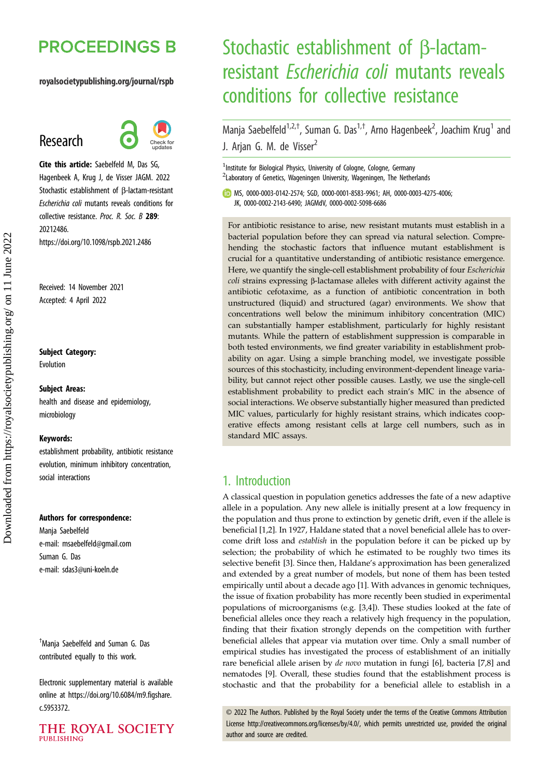# **PROCEEDINGS B**

#### royalsocietypublishing.org/journal/rspb

## Research



Cite this article: Saebelfeld M, Das SG, Hagenbeek A, Krug J, de Visser JAGM. 2022 Stochastic establishment of β-lactam-resistant Escherichia coli mutants reveals conditions for collective resistance. Proc. R. Soc. B 289: 20212486. https://doi.org/10.1098/rspb.2021.2486

Received: 14 November 2021 Accepted: 4 April 2022

#### Subject Category:

Evolution

#### Subject Areas:

health and disease and epidemiology, microbiology

#### Keywords:

establishment probability, antibiotic resistance evolution, minimum inhibitory concentration, social interactions

#### Authors for correspondence:

Manja Saebelfeld e-mail: [msaebelfeld@gmail.com](mailto:msaebelfeld@gmail.com) Suman G. Das e-mail: [sdas3@uni-koeln.de](mailto:sdas3@uni-koeln.de)

† Manja Saebelfeld and Suman G. Das contributed equally to this work.

Electronic supplementary material is available online at [https://doi.org/10.6084/m9.figshare.](https://doi.org/10.6084/m9.figshare.c.5953372) [c.5953372.](https://doi.org/10.6084/m9.figshare.c.5953372)



# Stochastic establishment of β-lactamresistant Escherichia coli mutants reveals conditions for collective resistance

Manja Saebelfeld<sup>1,2,†</sup>, Suman G. Das<sup>1,†</sup>, Arno Hagenbeek<sup>2</sup>, Joachim Krug<sup>1</sup> and J. Arjan G. M. de Visser<sup>2</sup>

<sup>1</sup>Institute for Biological Physics, University of Cologne, Cologne, Germany <sup>2</sup>Laboratory of Genetics, Wageningen University, Wageningen, The Netherlands

MS, [0000-0003-0142-2574](http://orcid.org/0000-0003-0142-2574); SGD, [0000-0001-8583-9961;](http://orcid.org/0000-0001-8583-9961) AH, [0000-0003-4275-4006](https://orcid.org/0000-0003-4275-4006); JK, [0000-0002-2143-6490](http://orcid.org/0000-0002-2143-6490); JAGMdV, [0000-0002-5098-6686](https://orcid.org/0000-0002-5098-6686)

For antibiotic resistance to arise, new resistant mutants must establish in a bacterial population before they can spread via natural selection. Comprehending the stochastic factors that influence mutant establishment is crucial for a quantitative understanding of antibiotic resistance emergence. Here, we quantify the single-cell establishment probability of four Escherichia coli strains expressing β-lactamase alleles with different activity against the antibiotic cefotaxime, as a function of antibiotic concentration in both unstructured (liquid) and structured (agar) environments. We show that concentrations well below the minimum inhibitory concentration (MIC) can substantially hamper establishment, particularly for highly resistant mutants. While the pattern of establishment suppression is comparable in both tested environments, we find greater variability in establishment probability on agar. Using a simple branching model, we investigate possible sources of this stochasticity, including environment-dependent lineage variability, but cannot reject other possible causes. Lastly, we use the single-cell establishment probability to predict each strain's MIC in the absence of social interactions. We observe substantially higher measured than predicted MIC values, particularly for highly resistant strains, which indicates cooperative effects among resistant cells at large cell numbers, such as in standard MIC assays.

## 1. Introduction

A classical question in population genetics addresses the fate of a new adaptive allele in a population. Any new allele is initially present at a low frequency in the population and thus prone to extinction by genetic drift, even if the allele is beneficial [[1,2\]](#page-6-0). In 1927, Haldane stated that a novel beneficial allele has to overcome drift loss and establish in the population before it can be picked up by selection; the probability of which he estimated to be roughly two times its selective benefit [\[3\]](#page-6-0). Since then, Haldane's approximation has been generalized and extended by a great number of models, but none of them has been tested empirically until about a decade ago [[1](#page-6-0)]. With advances in genomic techniques, the issue of fixation probability has more recently been studied in experimental populations of microorganisms (e.g. [[3,4\]](#page-6-0)). These studies looked at the fate of beneficial alleles once they reach a relatively high frequency in the population, finding that their fixation strongly depends on the competition with further beneficial alleles that appear via mutation over time. Only a small number of empirical studies has investigated the process of establishment of an initially rare beneficial allele arisen by de novo mutation in fungi [[6](#page-6-0)], bacteria [\[7,8\]](#page-6-0) and nematodes [\[9\]](#page-6-0). Overall, these studies found that the establishment process is stochastic and that the probability for a beneficial allele to establish in a

© 2022 The Authors. Published by the Royal Society under the terms of the Creative Commons Attribution License<http://creativecommons.org/licenses/by/4.0/>, which permits unrestricted use, provided the original author and source are credited.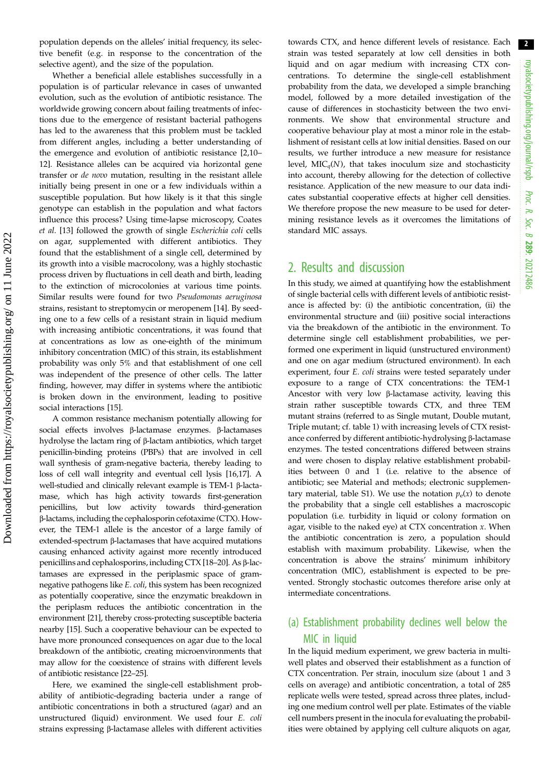population depends on the alleles' initial frequency, its selective benefit (e.g. in response to the concentration of the selective agent), and the size of the population.

Whether a beneficial allele establishes successfully in a population is of particular relevance in cases of unwanted evolution, such as the evolution of antibiotic resistance. The worldwide growing concern about failing treatments of infections due to the emergence of resistant bacterial pathogens has led to the awareness that this problem must be tackled from different angles, including a better understanding of the emergence and evolution of antibiotic resistance [\[2,10](#page-6-0)– [12\]](#page-6-0). Resistance alleles can be acquired via horizontal gene transfer or de novo mutation, resulting in the resistant allele initially being present in one or a few individuals within a susceptible population. But how likely is it that this single genotype can establish in the population and what factors influence this process? Using time-lapse microscopy, Coates et al. [\[13](#page-6-0)] followed the growth of single Escherichia coli cells on agar, supplemented with different antibiotics. They found that the establishment of a single cell, determined by its growth into a visible macrocolony, was a highly stochastic process driven by fluctuations in cell death and birth, leading to the extinction of microcolonies at various time points. Similar results were found for two Pseudomonas aeruginosa strains, resistant to streptomycin or meropenem [\[14](#page-6-0)]. By seeding one to a few cells of a resistant strain in liquid medium with increasing antibiotic concentrations, it was found that at concentrations as low as one-eighth of the minimum inhibitory concentration (MIC) of this strain, its establishment probability was only 5% and that establishment of one cell was independent of the presence of other cells. The latter finding, however, may differ in systems where the antibiotic is broken down in the environment, leading to positive social interactions [\[15](#page-6-0)].

A common resistance mechanism potentially allowing for social effects involves β-lactamase enzymes. β-lactamases hydrolyse the lactam ring of β-lactam antibiotics, which target penicillin-binding proteins (PBPs) that are involved in cell wall synthesis of gram-negative bacteria, thereby leading to loss of cell wall integrity and eventual cell lysis [\[16,17](#page-6-0)]. A well-studied and clinically relevant example is TEM-1 β-lactamase, which has high activity towards first-generation penicillins, but low activity towards third-generation β-lactams, including the cephalosporin cefotaxime (CTX). However, the TEM-1 allele is the ancestor of a large family of extended-spectrum β-lactamases that have acquired mutations causing enhanced activity against more recently introduced penicillins and cephalosporins, including CTX [\[18](#page-6-0)–[20](#page-7-0)]. As β-lactamases are expressed in the periplasmic space of gramnegative pathogens like E. coli, this system has been recognized as potentially cooperative, since the enzymatic breakdown in the periplasm reduces the antibiotic concentration in the environment [[21](#page-7-0)], thereby cross-protecting susceptible bacteria nearby [\[15\]](#page-6-0). Such a cooperative behaviour can be expected to have more pronounced consequences on agar due to the local breakdown of the antibiotic, creating microenvironments that may allow for the coexistence of strains with different levels of antibiotic resistance [[22](#page-7-0)–[25\]](#page-7-0).

Here, we examined the single-cell establishment probability of antibiotic-degrading bacteria under a range of antibiotic concentrations in both a structured (agar) and an unstructured (liquid) environment. We used four E. coli strains expressing β-lactamase alleles with different activities towards CTX, and hence different levels of resistance. Each strain was tested separately at low cell densities in both liquid and on agar medium with increasing CTX concentrations. To determine the single-cell establishment probability from the data, we developed a simple branching model, followed by a more detailed investigation of the cause of differences in stochasticity between the two environments. We show that environmental structure and cooperative behaviour play at most a minor role in the establishment of resistant cells at low initial densities. Based on our results, we further introduce a new measure for resistance level,  $MIC<sub>q</sub>(N)$ , that takes inoculum size and stochasticity into account, thereby allowing for the detection of collective resistance. Application of the new measure to our data indicates substantial cooperative effects at higher cell densities. We therefore propose the new measure to be used for determining resistance levels as it overcomes the limitations of standard MIC assays.

## 2. Results and discussion

In this study, we aimed at quantifying how the establishment of single bacterial cells with different levels of antibiotic resistance is affected by: (i) the antibiotic concentration, (ii) the environmental structure and (iii) positive social interactions via the breakdown of the antibiotic in the environment. To determine single cell establishment probabilities, we performed one experiment in liquid (unstructured environment) and one on agar medium (structured environment). In each experiment, four E. coli strains were tested separately under exposure to a range of CTX concentrations: the TEM-1 Ancestor with very low β-lactamase activity, leaving this strain rather susceptible towards CTX, and three TEM mutant strains (referred to as Single mutant, Double mutant, Triple mutant; cf. [table 1\)](#page-2-0) with increasing levels of CTX resistance conferred by different antibiotic-hydrolysing β-lactamase enzymes. The tested concentrations differed between strains and were chosen to display relative establishment probabilities between 0 and 1 (i.e. relative to the absence of antibiotic; see Material and methods; electronic supplementary material, table S1). We use the notation  $p_e(x)$  to denote the probability that a single cell establishes a macroscopic population (i.e. turbidity in liquid or colony formation on agar, visible to the naked eye) at CTX concentration  $x$ . When the antibiotic concentration is zero, a population should establish with maximum probability. Likewise, when the concentration is above the strains' minimum inhibitory concentration (MIC), establishment is expected to be prevented. Strongly stochastic outcomes therefore arise only at intermediate concentrations.

## (a) Establishment probability declines well below the MIC in liquid

In the liquid medium experiment, we grew bacteria in multiwell plates and observed their establishment as a function of CTX concentration. Per strain, inoculum size (about 1 and 3 cells on average) and antibiotic concentration, a total of 285 replicate wells were tested, spread across three plates, including one medium control well per plate. Estimates of the viable cell numbers present in the inocula for evaluating the probabilities were obtained by applying cell culture aliquots on agar,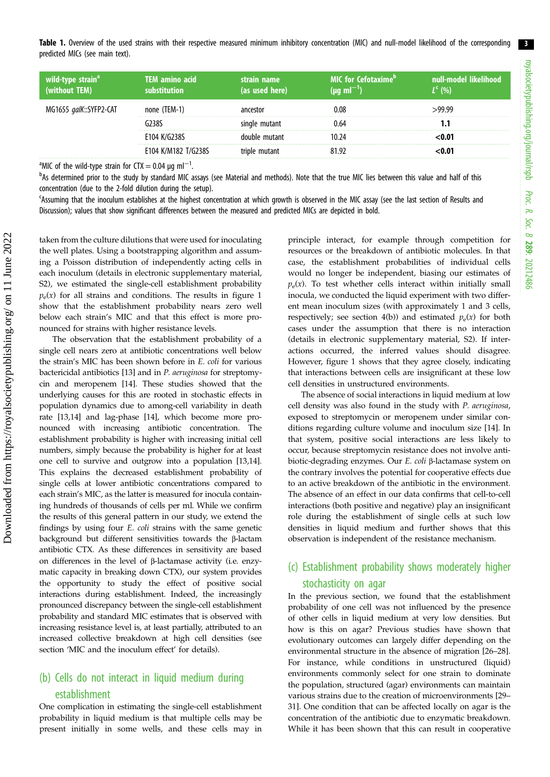<span id="page-2-0"></span>Table 1. Overview of the used strains with their respective measured minimum inhibitory concentration (MIC) and null-model likelihood of the corresponding predicted MICs (see main text).

| wild-type strain <sup>a</sup><br>(without TEM) | <b>TEM amino acid</b><br>hstitution | strain name<br>(as used here) | <b>MIC for Cefotaxime</b> <sup>D</sup><br>$(\mu g \, \text{ml}^{-1})$ | i null-model  likelihood'<br>$L^{\epsilon}$ (%) |
|------------------------------------------------|-------------------------------------|-------------------------------|-----------------------------------------------------------------------|-------------------------------------------------|
| MG1655 galK::SYFP2-CAT                         | none (TEM-1)                        | ancestor                      | 0.08                                                                  | 99 99ء                                          |
|                                                | ናን3ጸና                               | single mutant                 | 0.64                                                                  |                                                 |
|                                                | E104 K/G238S                        | double mutant                 | 10.24                                                                 | <0.01                                           |
|                                                | E104 K/M182 T/G238S                 | triple mutant                 | 81 97                                                                 | 0.01>                                           |

<sup>a</sup>MIC of the wild-type strain for CTX = 0.04  $\mu$ g ml<sup>-1</sup>.

<sup>b</sup>As determined prior to the study by standard MIC assays (see Material and methods). Note that the true MIC lies between this value and half of this concentration (due to the 2-fold dilution during the setup).

c Assuming that the inoculum establishes at the highest concentration at which growth is observed in the MIC assay (see the last section of Results and Discussion); values that show significant differences between the measured and predicted MICs are depicted in bold.

taken from the culture dilutions that were used for inoculating the well plates. Using a bootstrapping algorithm and assuming a Poisson distribution of independently acting cells in each inoculum (details in electronic supplementary material, S2), we estimated the single-cell establishment probability  $p_e(x)$  for all strains and conditions. The results in [figure 1](#page-3-0) show that the establishment probability nears zero well below each strain's MIC and that this effect is more pronounced for strains with higher resistance levels.

The observation that the establishment probability of a single cell nears zero at antibiotic concentrations well below the strain's MIC has been shown before in E. coli for various bactericidal antibiotics [[13](#page-6-0)] and in P. aeruginosa for streptomycin and meropenem [[14\]](#page-6-0). These studies showed that the underlying causes for this are rooted in stochastic effects in population dynamics due to among-cell variability in death rate [\[13,14\]](#page-6-0) and lag-phase [[14](#page-6-0)], which become more pronounced with increasing antibiotic concentration. The establishment probability is higher with increasing initial cell numbers, simply because the probability is higher for at least one cell to survive and outgrow into a population [[13](#page-6-0),[14](#page-6-0)]. This explains the decreased establishment probability of single cells at lower antibiotic concentrations compared to each strain's MIC, as the latter is measured for inocula containing hundreds of thousands of cells per ml. While we confirm the results of this general pattern in our study, we extend the findings by using four E. coli strains with the same genetic background but different sensitivities towards the β-lactam antibiotic CTX. As these differences in sensitivity are based on differences in the level of β-lactamase activity (i.e. enzymatic capacity in breaking down CTX), our system provides the opportunity to study the effect of positive social interactions during establishment. Indeed, the increasingly pronounced discrepancy between the single-cell establishment probability and standard MIC estimates that is observed with increasing resistance level is, at least partially, attributed to an increased collective breakdown at high cell densities (see section 'MIC and the inoculum effect' for details).

## (b) Cells do not interact in liquid medium during establishment

One complication in estimating the single-cell establishment probability in liquid medium is that multiple cells may be present initially in some wells, and these cells may in principle interact, for example through competition for resources or the breakdown of antibiotic molecules. In that case, the establishment probabilities of individual cells would no longer be independent, biasing our estimates of  $p_e(x)$ . To test whether cells interact within initially small inocula, we conducted the liquid experiment with two different mean inoculum sizes (with approximately 1 and 3 cells, respectively; see section 4(b)) and estimated  $p_e(x)$  for both cases under the assumption that there is no interaction (details in electronic supplementary material, S2). If interactions occurred, the inferred values should disagree. However, [figure 1](#page-3-0) shows that they agree closely, indicating that interactions between cells are insignificant at these low cell densities in unstructured environments.

The absence of social interactions in liquid medium at low cell density was also found in the study with P. aeruginosa, exposed to streptomycin or meropenem under similar conditions regarding culture volume and inoculum size [\[14](#page-6-0)]. In that system, positive social interactions are less likely to occur, because streptomycin resistance does not involve antibiotic-degrading enzymes. Our E. coli β-lactamase system on the contrary involves the potential for cooperative effects due to an active breakdown of the antibiotic in the environment. The absence of an effect in our data confirms that cell-to-cell interactions (both positive and negative) play an insignificant role during the establishment of single cells at such low densities in liquid medium and further shows that this observation is independent of the resistance mechanism.

## (c) Establishment probability shows moderately higher stochasticity on agar

In the previous section, we found that the establishment probability of one cell was not influenced by the presence of other cells in liquid medium at very low densities. But how is this on agar? Previous studies have shown that evolutionary outcomes can largely differ depending on the environmental structure in the absence of migration [\[26](#page-7-0)–[28\]](#page-7-0). For instance, while conditions in unstructured (liquid) environments commonly select for one strain to dominate the population, structured (agar) environments can maintain various strains due to the creation of microenvironments [\[29](#page-7-0)– [31\]](#page-7-0). One condition that can be affected locally on agar is the concentration of the antibiotic due to enzymatic breakdown. While it has been shown that this can result in cooperative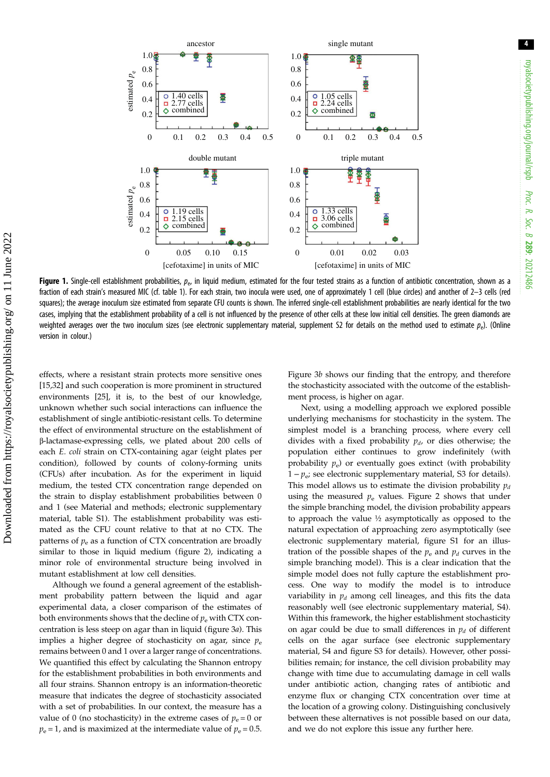<span id="page-3-0"></span>

Figure 1. Single-cell establishment probabilities,  $p_{e}$ , in liquid medium, estimated for the four tested strains as a function of antibiotic concentration, shown as a fraction of each strain's measured MIC (cf. [table 1\)](#page-2-0). For each strain, two inocula were used, one of approximately 1 cell (blue circles) and another of 2–3 cells (red squares); the average inoculum size estimated from separate CFU counts is shown. The inferred single-cell establishment probabilities are nearly identical for the two cases, implying that the establishment probability of a cell is not influenced by the presence of other cells at these low initial cell densities. The green diamonds are weighted averages over the two inoculum sizes (see electronic supplementary material, supplement S2 for details on the method used to estimate  $p_e$ ). (Online version in colour.)

effects, where a resistant strain protects more sensitive ones [\[15](#page-6-0),[32\]](#page-7-0) and such cooperation is more prominent in structured environments [\[25](#page-7-0)], it is, to the best of our knowledge, unknown whether such social interactions can influence the establishment of single antibiotic-resistant cells. To determine the effect of environmental structure on the establishment of β-lactamase-expressing cells, we plated about 200 cells of each E. coli strain on CTX-containing agar (eight plates per condition), followed by counts of colony-forming units (CFUs) after incubation. As for the experiment in liquid medium, the tested CTX concentration range depended on the strain to display establishment probabilities between 0 and 1 (see Material and methods; electronic supplementary material, table S1). The establishment probability was estimated as the CFU count relative to that at no CTX. The patterns of  $p_e$  as a function of CTX concentration are broadly similar to those in liquid medium [\(figure 2](#page-4-0)), indicating a minor role of environmental structure being involved in mutant establishment at low cell densities.

Although we found a general agreement of the establishment probability pattern between the liquid and agar experimental data, a closer comparison of the estimates of both environments shows that the decline of  $p_e$  with CTX concentration is less steep on agar than in liquid [\(figure 3](#page-5-0)a). This implies a higher degree of stochasticity on agar, since  $p_e$ remains between 0 and 1 over a larger range of concentrations. We quantified this effect by calculating the Shannon entropy for the establishment probabilities in both environments and all four strains. Shannon entropy is an information-theoretic measure that indicates the degree of stochasticity associated with a set of probabilities. In our context, the measure has a value of 0 (no stochasticity) in the extreme cases of  $p_e = 0$  or  $p_e$  = 1, and is maximized at the intermediate value of  $p_e$  = 0.5. [Figure 3](#page-5-0)b shows our finding that the entropy, and therefore the stochasticity associated with the outcome of the establishment process, is higher on agar.

Next, using a modelling approach we explored possible underlying mechanisms for stochasticity in the system. The simplest model is a branching process, where every cell divides with a fixed probability  $p_d$ , or dies otherwise; the population either continues to grow indefinitely (with probability  $p_e$ ) or eventually goes extinct (with probability  $1 - p_e$ ; see electronic supplementary material, S3 for details). This model allows us to estimate the division probability  $p_d$ using the measured  $p_e$  values. [Figure 2](#page-4-0) shows that under the simple branching model, the division probability appears to approach the value ½ asymptotically as opposed to the natural expectation of approaching zero asymptotically (see electronic supplementary material, figure S1 for an illustration of the possible shapes of the  $p_e$  and  $p_d$  curves in the simple branching model). This is a clear indication that the simple model does not fully capture the establishment process. One way to modify the model is to introduce variability in  $p_d$  among cell lineages, and this fits the data reasonably well (see electronic supplementary material, S4). Within this framework, the higher establishment stochasticity on agar could be due to small differences in  $p_d$  of different cells on the agar surface (see electronic supplementary material, S4 and figure S3 for details). However, other possibilities remain; for instance, the cell division probability may change with time due to accumulating damage in cell walls under antibiotic action, changing rates of antibiotic and enzyme flux or changing CTX concentration over time at the location of a growing colony. Distinguishing conclusively between these alternatives is not possible based on our data, and we do not explore this issue any further here.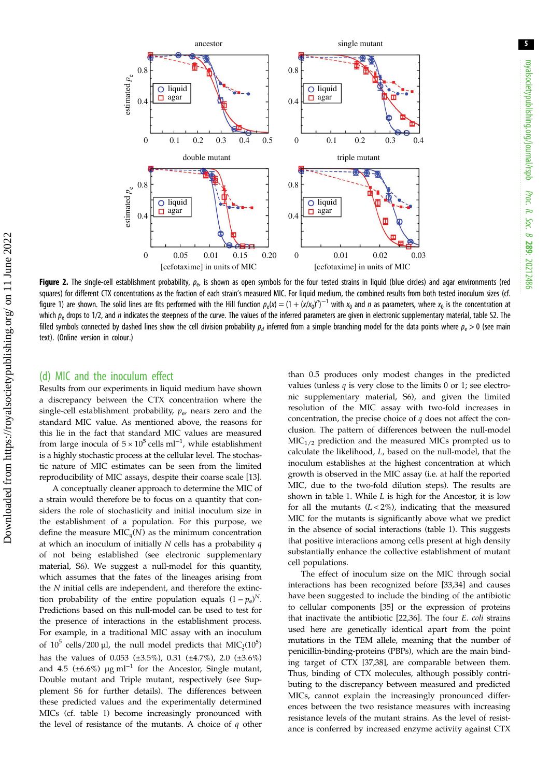<span id="page-4-0"></span>

Figure 2. The single-cell establishment probability,  $p_e$ , is shown as open symbols for the four tested strains in liquid (blue circles) and agar environments (red squares) for different CTX concentrations as the fraction of each strain's measured MIC. For liquid medium, the combined results from both tested inoculum sizes (cf. [figure 1\)](#page-3-0) are shown. The solid lines are fits performed with the Hill function  $p_e(x) = (1 + (x/x_0)^n)^{-1}$  with  $x_0$  and  $n$  as parameters, where  $x_0$  is the concentration at which  $p_e$  drops to 1/2, and n indicates the steepness of the curve. The values of the inferred parameters are given in electronic supplementary material, table S2. The filled symbols connected by dashed lines show the cell division probability  $p_d$  inferred from a simple branching model for the data points where  $p_e > 0$  (see main text). (Online version in colour.)

#### (d) MIC and the inoculum effect

Results from our experiments in liquid medium have shown a discrepancy between the CTX concentration where the single-cell establishment probability,  $p_e$ , nears zero and the standard MIC value. As mentioned above, the reasons for this lie in the fact that standard MIC values are measured from large inocula of  $5 \times 10^5$  cells ml<sup>-1</sup>, while establishment is a highly stochastic process at the cellular level. The stochastic nature of MIC estimates can be seen from the limited reproducibility of MIC assays, despite their coarse scale [\[13](#page-6-0)].

A conceptually cleaner approach to determine the MIC of a strain would therefore be to focus on a quantity that considers the role of stochasticity and initial inoculum size in the establishment of a population. For this purpose, we define the measure  $MIC<sub>q</sub>(N)$  as the minimum concentration at which an inoculum of initially  $N$  cells has a probability  $q$ of not being established (see electronic supplementary material, S6). We suggest a null-model for this quantity, which assumes that the fates of the lineages arising from the N initial cells are independent, and therefore the extinction probability of the entire population equals  $(1 - p_e)^N$ . Predictions based on this null-model can be used to test for the presence of interactions in the establishment process. For example, in a traditional MIC assay with an inoculum of  $10^5$  cells/200 µl, the null model predicts that  $\mathrm{MIC}_\frac{1}{2}(10^5)$ has the values of 0.053 (±3.5%), 0.31 (±4.7%), 2.0 (±3.6%) and 4.5 (±6.6%) µg ml<sup>-1</sup> for the Ancestor, Single mutant, Double mutant and Triple mutant, respectively (see Supplement S6 for further details). The differences between these predicted values and the experimentally determined MICs (cf. [table 1\)](#page-2-0) become increasingly pronounced with the level of resistance of the mutants. A choice of  $q$  other than 0.5 produces only modest changes in the predicted values (unless  $q$  is very close to the limits 0 or 1; see electronic supplementary material, S6), and given the limited resolution of the MIC assay with two-fold increases in concentration, the precise choice of  $q$  does not affect the conclusion. The pattern of differences between the null-model  $MIC<sub>1/2</sub>$  prediction and the measured MICs prompted us to calculate the likelihood, L, based on the null-model, that the inoculum establishes at the highest concentration at which growth is observed in the MIC assay (i.e. at half the reported MIC, due to the two-fold dilution steps). The results are shown in [table 1](#page-2-0). While  $L$  is high for the Ancestor, it is low for all the mutants  $(L < 2\%)$ , indicating that the measured MIC for the mutants is significantly above what we predict in the absence of social interactions ([table 1\)](#page-2-0). This suggests that positive interactions among cells present at high density substantially enhance the collective establishment of mutant cell populations.

The effect of inoculum size on the MIC through social interactions has been recognized before [[33,34\]](#page-7-0) and causes have been suggested to include the binding of the antibiotic to cellular components [\[35](#page-7-0)] or the expression of proteins that inactivate the antibiotic [[22,36\]](#page-7-0). The four E. coli strains used here are genetically identical apart from the point mutations in the TEM allele, meaning that the number of penicillin-binding-proteins (PBPs), which are the main binding target of CTX [[37,38](#page-7-0)], are comparable between them. Thus, binding of CTX molecules, although possibly contributing to the discrepancy between measured and predicted MICs, cannot explain the increasingly pronounced differences between the two resistance measures with increasing resistance levels of the mutant strains. As the level of resistance is conferred by increased enzyme activity against CTX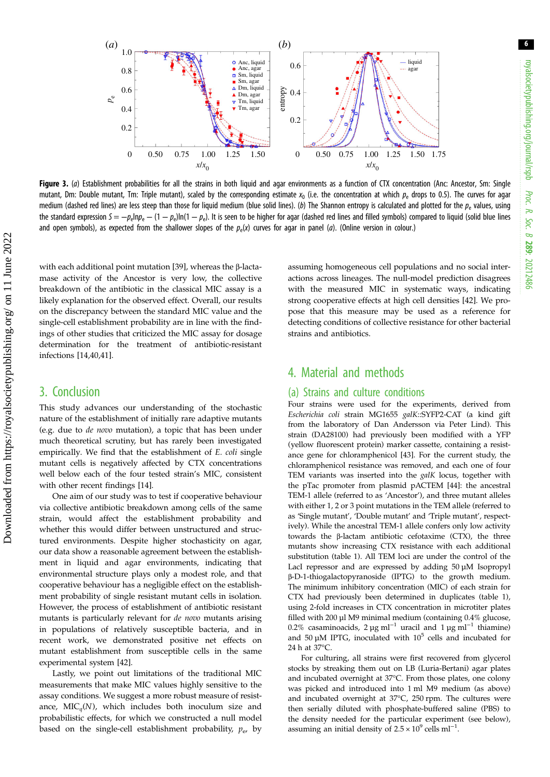<span id="page-5-0"></span>

Figure 3. (a) Establishment probabilities for all the strains in both liquid and agar environments as a function of CTX concentration (Anc: Ancestor, Sm: Single mutant, Dm: Double mutant, Tm: Triple mutant), scaled by the corresponding estimate  $x_0$  (i.e. the concentration at which  $p_e$  drops to 0.5). The curves for agar medium (dashed red lines) are less steep than those for liquid medium (blue solid lines). (b) The Shannon entropy is calculated and plotted for the  $p_e$  values, using the standard expression  $S = -p_e \ln p_e - (1 - p_e) \ln(1 - p_e)$ . It is seen to be higher for agar (dashed red lines and filled symbols) compared to liquid (solid blue lines and open symbols), as expected from the shallower slopes of the  $p_e(x)$  curves for agar in panel (*a*). (Online version in colour.)

with each additional point mutation [\[39](#page-7-0)], whereas the β-lactamase activity of the Ancestor is very low, the collective breakdown of the antibiotic in the classical MIC assay is a likely explanation for the observed effect. Overall, our results on the discrepancy between the standard MIC value and the single-cell establishment probability are in line with the findings of other studies that criticized the MIC assay for dosage determination for the treatment of antibiotic-resistant infections [\[14](#page-6-0),[40,41\]](#page-7-0).

## 3. Conclusion

This study advances our understanding of the stochastic nature of the establishment of initially rare adaptive mutants (e.g. due to de novo mutation), a topic that has been under much theoretical scrutiny, but has rarely been investigated empirically. We find that the establishment of E. coli single mutant cells is negatively affected by CTX concentrations well below each of the four tested strain's MIC, consistent with other recent findings [\[14](#page-6-0)].

One aim of our study was to test if cooperative behaviour via collective antibiotic breakdown among cells of the same strain, would affect the establishment probability and whether this would differ between unstructured and structured environments. Despite higher stochasticity on agar, our data show a reasonable agreement between the establishment in liquid and agar environments, indicating that environmental structure plays only a modest role, and that cooperative behaviour has a negligible effect on the establishment probability of single resistant mutant cells in isolation. However, the process of establishment of antibiotic resistant mutants is particularly relevant for de novo mutants arising in populations of relatively susceptible bacteria, and in recent work, we demonstrated positive net effects on mutant establishment from susceptible cells in the same experimental system [[42\]](#page-7-0).

Lastly, we point out limitations of the traditional MIC measurements that make MIC values highly sensitive to the assay conditions. We suggest a more robust measure of resistance,  $MIC_a(N)$ , which includes both inoculum size and probabilistic effects, for which we constructed a null model based on the single-cell establishment probability,  $p_{e}$ , by assuming homogeneous cell populations and no social interactions across lineages. The null-model prediction disagrees with the measured MIC in systematic ways, indicating strong cooperative effects at high cell densities [\[42](#page-7-0)]. We propose that this measure may be used as a reference for detecting conditions of collective resistance for other bacterial strains and antibiotics.

## 4. Material and methods

### (a) Strains and culture conditions

Four strains were used for the experiments, derived from Escherichia coli strain MG1655 galK::SYFP2-CAT (a kind gift from the laboratory of Dan Andersson via Peter Lind). This strain (DA28100) had previously been modified with a YFP (yellow fluorescent protein) marker cassette, containing a resistance gene for chloramphenicol [\[43\]](#page-7-0). For the current study, the chloramphenicol resistance was removed, and each one of four TEM variants was inserted into the *galK* locus, together with the pTac promoter from plasmid pACTEM [[44](#page-7-0)]: the ancestral TEM-1 allele (referred to as 'Ancestor'), and three mutant alleles with either 1, 2 or 3 point mutations in the TEM allele (referred to as 'Single mutant', 'Double mutant' and 'Triple mutant', respectively). While the ancestral TEM-1 allele confers only low activity towards the β-lactam antibiotic cefotaxime (CTX), the three mutants show increasing CTX resistance with each additional substitution ([table 1](#page-2-0)). All TEM loci are under the control of the LacI repressor and are expressed by adding 50 µM Isopropyl β-D-1-thiogalactopyranoside (IPTG) to the growth medium. The minimum inhibitory concentration (MIC) of each strain for CTX had previously been determined in duplicates [\(table 1\)](#page-2-0), using 2-fold increases in CTX concentration in microtiter plates filled with 200 µl M9 minimal medium (containing 0.4% glucose, 0.2% casaminoacids, 2 µg ml<sup>-1</sup> uracil and 1 µg ml<sup>-1</sup> thiamine) and 50  $\mu$ M IPTG, inoculated with 10<sup>5</sup> cells and incubated for 24 h at 37°C.

For culturing, all strains were first recovered from glycerol stocks by streaking them out on LB (Luria-Bertani) agar plates and incubated overnight at 37°C. From those plates, one colony was picked and introduced into 1 ml M9 medium (as above) and incubated overnight at 37°C, 250 rpm. The cultures were then serially diluted with phosphate-buffered saline (PBS) to the density needed for the particular experiment (see below), assuming an initial density of  $2.5 \times 10^9$  cells ml<sup>-1</sup>.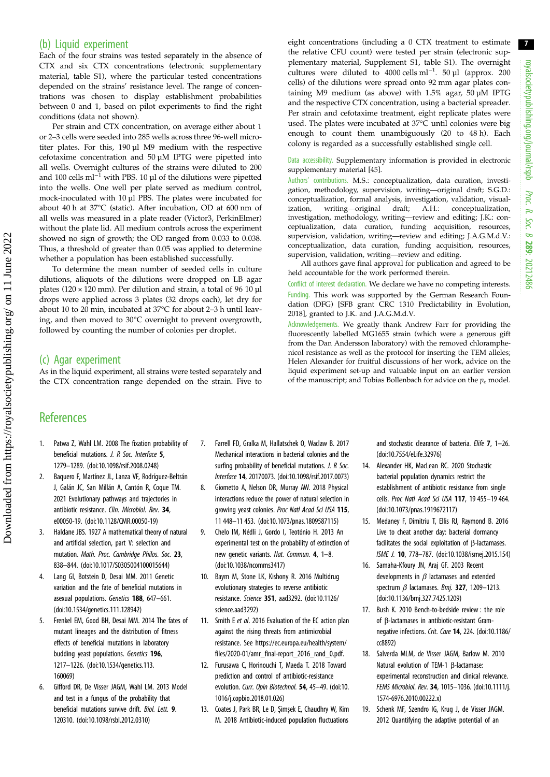#### <span id="page-6-0"></span>(b) Liquid experiment

Each of the four strains was tested separately in the absence of CTX and six CTX concentrations (electronic supplementary material, table S1), where the particular tested concentrations depended on the strains' resistance level. The range of concentrations was chosen to display establishment probabilities between 0 and 1, based on pilot experiments to find the right conditions (data not shown).

Per strain and CTX concentration, on average either about 1 or 2–3 cells were seeded into 285 wells across three 96-well microtiter plates. For this, 190 µl M9 medium with the respective cefotaxime concentration and 50 µM IPTG were pipetted into all wells. Overnight cultures of the strains were diluted to 200 and 100 cells ml<sup>-1</sup> with PBS. 10 µl of the dilutions were pipetted into the wells. One well per plate served as medium control, mock-inoculated with 10 µl PBS. The plates were incubated for about 40 h at 37°C (static). After incubation, OD at 600 nm of all wells was measured in a plate reader (Victor3, PerkinElmer) without the plate lid. All medium controls across the experiment showed no sign of growth; the OD ranged from 0.033 to 0.038. Thus, a threshold of greater than 0.05 was applied to determine whether a population has been established successfully.

To determine the mean number of seeded cells in culture dilutions, aliquots of the dilutions were dropped on LB agar plates ( $120 \times 120$  mm). Per dilution and strain, a total of 96 10  $\mu$ l drops were applied across 3 plates (32 drops each), let dry for about 10 to 20 min, incubated at 37°C for about 2–3 h until leaving, and then moved to 30°C overnight to prevent overgrowth, followed by counting the number of colonies per droplet.

(c) Agar experiment

**References** 

As in the liquid experiment, all strains were tested separately and the CTX concentration range depended on the strain. Five to eight concentrations (including a 0 CTX treatment to estimate the relative CFU count) were tested per strain (electronic supplementary material, Supplement S1, table S1). The overnight cultures were diluted to  $4000$  cells ml<sup>-1</sup>. 50 µl (approx. 200 cells) of the dilutions were spread onto 92 mm agar plates containing M9 medium (as above) with 1.5% agar, 50 µM IPTG and the respective CTX concentration, using a bacterial spreader. Per strain and cefotaxime treatment, eight replicate plates were used. The plates were incubated at 37°C until colonies were big enough to count them unambiguously (20 to 48 h). Each colony is regarded as a successfully established single cell.

Data accessibility. Supplementary information is provided in electronic supplementary material [\[45](#page-7-0)].

Authors' contributions. M.S.: conceptualization, data curation, investigation, methodology, supervision, writing—original draft; S.G.D.: conceptualization, formal analysis, investigation, validation, visualization, writing—original draft; A.H.: conceptualization, investigation, methodology, writing—review and editing; J.K.: conceptualization, data curation, funding acquisition, resources, supervision, validation, writing—review and editing; J.A.G.M.d.V.: conceptualization, data curation, funding acquisition, resources, supervision, validation, writing—review and editing.

All authors gave final approval for publication and agreed to be held accountable for the work performed therein.

Conflict of interest declaration. We declare we have no competing interests. Funding. This work was supported by the German Research Foundation (DFG) [SFB grant CRC 1310 Predictability in Evolution, 2018], granted to J.K. and J.A.G.M.d.V.

Acknowledgements. We greatly thank Andrew Farr for providing the fluorescently labelled MG1655 strain (which were a generous gift from the Dan Andersson laboratory) with the removed chloramphenicol resistance as well as the protocol for inserting the TEM alleles; Helen Alexander for fruitful discussions of her work, advice on the liquid experiment set-up and valuable input on an earlier version of the manuscript; and Tobias Bollenbach for advice on the  $p_e$  model.

- 1. Patwa Z, Wahl LM. 2008 The fixation probability of beneficial mutations. J. R Soc. Interface 5, 1279–1289. [\(doi:10.1098/rsif.2008.0248\)](http://dx.doi.org/10.1098/rsif.2008.0248)
- 2. Baquero F, Martínez JL, Lanza VF, Rodríguez-Beltrán J, Galán JC, San Millán A, Cantón R, Coque TM. 2021 Evolutionary pathways and trajectories in antibiotic resistance. Clin. Microbiol. Rev. 34, e00050-19. [\(doi:10.1128/CMR.00050-19\)](http://dx.doi.org/10.1128/CMR.00050-19)
- 3. Haldane JBS. 1927 A mathematical theory of natural and artificial selection, part V: selection and mutation. Math. Proc. Cambridge Philos. Soc. 23, 838–844. ([doi:10.1017/S0305004100015644](https://doi.org/10.1017/S0305004100015644))
- 4. Lang GI, Botstein D, Desai MM. 2011 Genetic variation and the fate of beneficial mutations in asexual populations. Genetics 188, 647–661. [\(doi:10.1534/genetics.111.128942](http://dx.doi.org/10.1534/genetics.111.128942))
- 5. Frenkel EM, Good BH, Desai MM. 2014 The fates of mutant lineages and the distribution of fitness effects of beneficial mutations in laboratory budding yeast populations. Genetics 196, 1217–1226. [\(doi:10.1534/genetics.113.](http://dx.doi.org/10.1534/genetics.113.160069) [160069](http://dx.doi.org/10.1534/genetics.113.160069))
- 6. Gifford DR, De Visser JAGM, Wahl LM. 2013 Model and test in a fungus of the probability that beneficial mutations survive drift. Biol. Lett. 9. 120310. [\(doi:10.1098/rsbl.2012.0310](http://dx.doi.org/10.1098/rsbl.2012.0310))
- 7. Farrell FD, Gralka M, Hallatschek O, Waclaw B. 2017 Mechanical interactions in bacterial colonies and the surfing probability of beneficial mutations. J. R Soc. Interface 14, 20170073. ([doi:10.1098/rsif.2017.0073\)](http://dx.doi.org/10.1098/rsif.2017.0073)
- 8. Giometto A, Nelson DR, Murray AW. 2018 Physical interactions reduce the power of natural selection in growing yeast colonies. Proc Natl Acad Sci USA 115, 11 448–11 453. ([doi:10.1073/pnas.1809587115](http://dx.doi.org/10.1073/pnas.1809587115))
- 9. Chelo IM, Nédli J, Gordo I, Teotónio H. 2013 An experimental test on the probability of extinction of new genetic variants. Nat. Commun. 4, 1–8. [\(doi:10.1038/ncomms3417](http://dx.doi.org/10.1038/ncomms3417))
- 10. Baym M, Stone LK, Kishony R. 2016 Multidrug evolutionary strategies to reverse antibiotic resistance. Science 351, aad3292. [\(doi:10.1126/](http://dx.doi.org/10.1126/science.aad3292) [science.aad3292](http://dx.doi.org/10.1126/science.aad3292))
- 11. Smith E et al. 2016 Evaluation of the EC action plan against the rising threats from antimicrobial resistance. See [https://ec.europa.eu/health/system/](https://ec.europa.eu/health/system/files/2020-01/amr_final-report_2016_rand_0.pdf) [files/2020-01/amr\\_final-report\\_2016\\_rand\\_0.pdf](https://ec.europa.eu/health/system/files/2020-01/amr_final-report_2016_rand_0.pdf).
- 12. Furusawa C, Horinouchi T, Maeda T. 2018 Toward prediction and control of antibiotic-resistance evolution. Curr. Opin Biotechnol. 54, 45–49. [\(doi:10.](http://dx.doi.org/10.1016/j.copbio.2018.01.026) [1016/j.copbio.2018.01.026\)](http://dx.doi.org/10.1016/j.copbio.2018.01.026)
- 13. Coates J, Park BR, Le D, Şimşek E, Chaudhry W, Kim M. 2018 Antibiotic-induced population fluctuations

and stochastic clearance of bacteria. Elife 7, 1–26. ([doi:10.7554/eLife.32976](http://dx.doi.org/10.7554/eLife.32976))

- 14. Alexander HK, MacLean RC. 2020 Stochastic bacterial population dynamics restrict the establishment of antibiotic resistance from single cells. Proc Natl Acad Sci USA 117, 19 455–19 464. ([doi:10.1073/pnas.1919672117\)](http://dx.doi.org/10.1073/pnas.1919672117)
- 15. Medaney F, Dimitriu T, Ellis RJ, Raymond B. 2016 Live to cheat another day: bacterial dormancy facilitates the social exploitation of β-lactamases. ISME J. 10, 778–787. [\(doi:10.1038/ismej.2015.154](http://dx.doi.org/10.1038/ismej.2015.154))
- 16. Samaha-Kfoury JN, Araj GF. 2003 Recent developments in  $\beta$  lactamases and extended spectrum  $\beta$  lactamases. Bmj. 327, 1209-1213. ([doi:10.1136/bmj.327.7425.1209](http://dx.doi.org/10.1136/bmj.327.7425.1209))
- 17. Bush K. 2010 Bench-to-bedside review : the role of β-lactamases in antibiotic-resistant Gramnegative infections. Crit. Care 14, 224. [\(doi:10.1186/](http://dx.doi.org/10.1186/cc8892) [cc8892](http://dx.doi.org/10.1186/cc8892))
- 18. Salverda MLM, de Visser JAGM, Barlow M. 2010 Natural evolution of TEM-1 β-lactamase: experimental reconstruction and clinical relevance. FEMS Microbiol. Rev. 34, 1015–1036. ([doi:10.1111/j.](http://dx.doi.org/10.1111/j.1574-6976.2010.00222.x) [1574-6976.2010.00222.x\)](http://dx.doi.org/10.1111/j.1574-6976.2010.00222.x)
- 19. Schenk MF, Szendro IG, Krug J, de Visser JAGM. 2012 Quantifying the adaptive potential of an